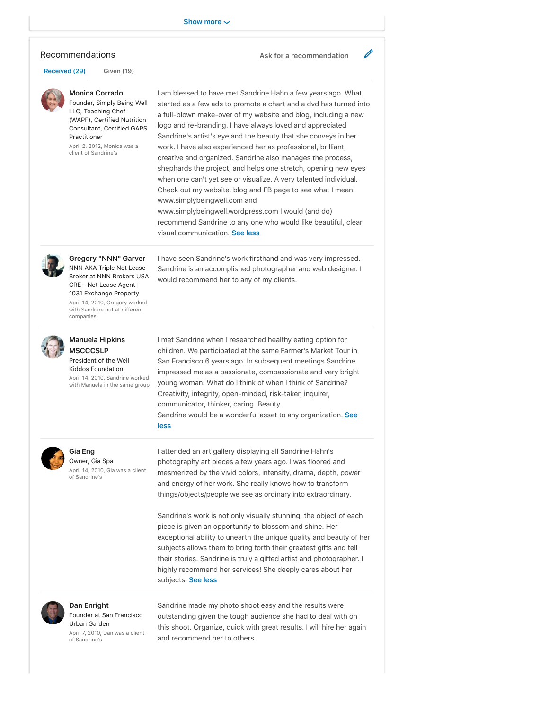### Recommendations **Ask for a recommendation**

**Received (29) Given (19)**

#### **Monica Corrado** Founder, Simply Being Well

LLC, Teaching Chef (WAPF), Certified Nutrition Consultant, Certified GAPS Practitioner

April 2, 2012, Monica was a client of Sandrine's

I am blessed to have met Sandrine Hahn a few years ago. What started as a few ads to promote a chart and a dvd has turned into a full-blown make-over of my website and blog, including a new logo and re-branding. I have always loved and appreciated Sandrine's artist's eye and the beauty that she conveys in her work. I have also experienced her as professional, brilliant, creative and organized. Sandrine also manages the process, shephards the project, and helps one stretch, opening new eyes when one can't yet see or visualize. A very talented individual. Check out my website, blog and FB page to see what I mean! www.simplybeingwell.com and www.simplybeingwell.wordpress.com I would (and do) recommend Sandrine to any one who would like beautiful, clear

I have seen Sandrine's work firsthand and was very impressed. Sandrine is an accomplished photographer and web designer. I

I met Sandrine when I researched healthy eating option for children. We participated at the same Farmer's Market Tour in San Francisco 6 years ago. In subsequent meetings Sandrine impressed me as a passionate, compassionate and very bright young woman. What do I think of when I think of Sandrine? Creativity, integrity, open-minded, risk-taker, inquirer,

visual communication. **See less**

would recommend her to any of my clients.

communicator, thinker, caring. Beauty.

**less**



**Gregory "NNN" Garver** NNN AKA Triple Net Lease Broker at NNN Brokers USA CRE - Net Lease Agent | 1031 Exchange Property April 14, 2010, Gregory worked with Sandrine but at different companies



### **Manuela Hipkins MSCCCSLP** President of the Well

Kiddos Foundation April 14, 2010, Sandrine worked with Manuela in the same group



# **Gia Eng**

Owner, Gia Spa April 14, 2010, Gia was a client of Sandrine's

I attended an art gallery displaying all Sandrine Hahn's photography art pieces a few years ago. I was floored and mesmerized by the vivid colors, intensity, drama, depth, power and energy of her work. She really knows how to transform things/objects/people we see as ordinary into extraordinary.

Sandrine would be a wonderful asset to any organization. **See**

Sandrine's work is not only visually stunning, the object of each piece is given an opportunity to blossom and shine. Her exceptional ability to unearth the unique quality and beauty of her subjects allows them to bring forth their greatest gifts and tell their stories. Sandrine is truly a gifted artist and photographer. I highly recommend her services! She deeply cares about her subjects. **See less**



**Dan Enright** Founder at San Francisco Urban Garden

April 7, 2010, Dan was a client of Sandrine's

Sandrine made my photo shoot easy and the results were outstanding given the tough audience she had to deal with on this shoot. Organize, quick with great results. I will hire her again and recommend her to others.

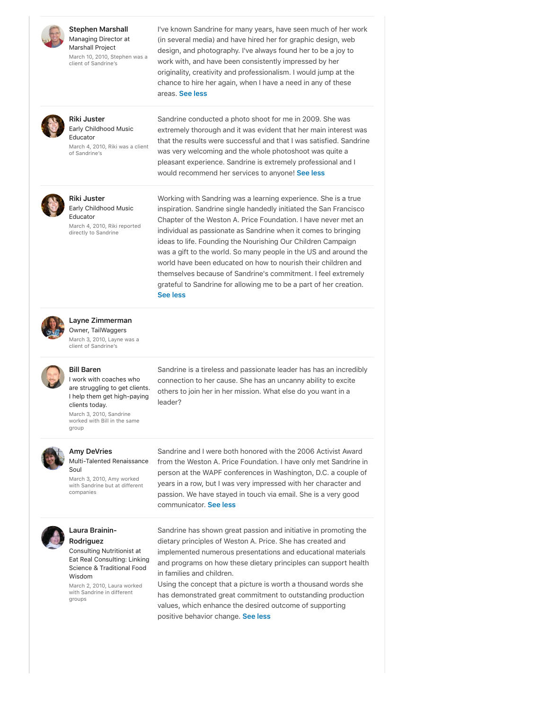

**Stephen Marshall** Managing Director at Marshall Project

March 10, 2010, Stephen was a client of Sandrine's

I've known Sandrine for many years, have seen much of her work (in several media) and have hired her for graphic design, web design, and photography. I've always found her to be a joy to work with, and have been consistently impressed by her originality, creativity and professionalism. I would jump at the chance to hire her again, when I have a need in any of these areas. **See less**



**Riki Juster** Early Childhood Music Educator

March 4, 2010, Riki was a client of Sandrine's

Sandrine conducted a photo shoot for me in 2009. She was extremely thorough and it was evident that her main interest was that the results were successful and that I was satisfied. Sandrine was very welcoming and the whole photoshoot was quite a pleasant experience. Sandrine is extremely professional and I would recommend her services to anyone! **See less**



**Riki Juster** Early Childhood Music

Educator March 4, 2010, Riki reported directly to Sandrine

Working with Sandring was a learning experience. She is a true inspiration. Sandrine single handedly initiated the San Francisco Chapter of the Weston A. Price Foundation. I have never met an individual as passionate as Sandrine when it comes to bringing ideas to life. Founding the Nourishing Our Children Campaign was a gift to the world. So many people in the US and around the world have been educated on how to nourish their children and themselves because of Sandrine's commitment. I feel extremely grateful to Sandrine for allowing me to be a part of her creation. **See less**



**Layne Zimmerman** Owner, TailWaggers

March 3, 2010, Layne was a client of Sandrine's



## **Bill Baren**

I work with coaches who are struggling to get clients. I help them get high-paying clients today. March 3, 2010, Sandrine worked with Bill in the same

leader?

group

#### **Amy DeVries** Multi-Talented Renaissance

Soul March 3, 2010, Amy worked with Sandrine but at different companies

Sandrine and I were both honored with the 2006 Activist Award from the Weston A. Price Foundation. I have only met Sandrine in person at the WAPF conferences in Washington, D.C. a couple of years in a row, but I was very impressed with her character and passion. We have stayed in touch via email. She is a very good communicator. **See less**

Sandrine is a tireless and passionate leader has has an incredibly connection to her cause. She has an uncanny ability to excite others to join her in her mission. What else do you want in a



### **Laura Brainin-Rodriguez**

Consulting Nutritionist at Eat Real Consulting: Linking Science & Traditional Food Wisdom

March 2, 2010, Laura worked with Sandrine in different groups

Sandrine has shown great passion and initiative in promoting the dietary principles of Weston A. Price. She has created and implemented numerous presentations and educational materials and programs on how these dietary principles can support health in families and children.

Using the concept that a picture is worth a thousand words she has demonstrated great commitment to outstanding production values, which enhance the desired outcome of supporting positive behavior change. **See less**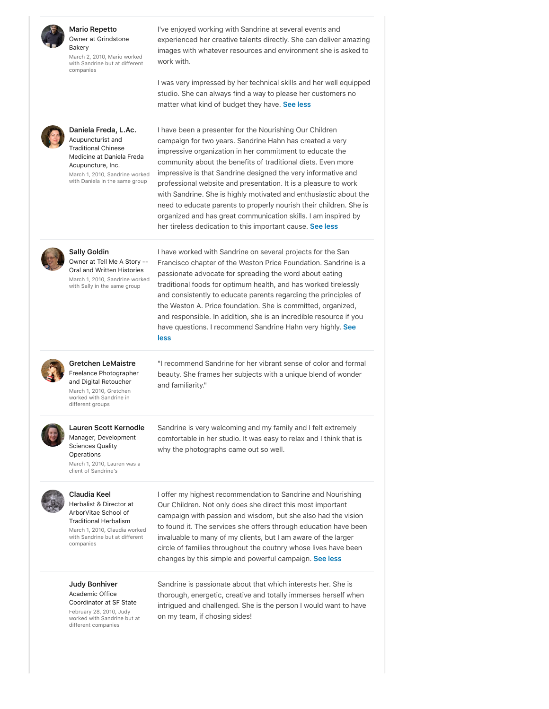

### **Mario Repetto** Owner at Grindstone

Bakery March 2, 2010, Mario worked with Sandrine but at different companies

I've enjoyed working with Sandrine at several events and experienced her creative talents directly. She can deliver amazing images with whatever resources and environment she is asked to work with.

I was very impressed by her technical skills and her well equipped studio. She can always find a way to please her customers no matter what kind of budget they have. **See less**



**Daniela Freda, L.Ac.** Acupuncturist and Traditional Chinese Medicine at Daniela Freda Acupuncture, Inc. March 1, 2010, Sandrine worked with Daniela in the same group

I have been a presenter for the Nourishing Our Children campaign for two years. Sandrine Hahn has created a very impressive organization in her commitment to educate the community about the benefits of traditional diets. Even more impressive is that Sandrine designed the very informative and professional website and presentation. It is a pleasure to work with Sandrine. She is highly motivated and enthusiastic about the need to educate parents to properly nourish their children. She is organized and has great communication skills. I am inspired by her tireless dedication to this important cause. **See less**



### **Sally Goldin**

Owner at Tell Me A Story -- Oral and Written Histories March 1, 2010, Sandrine worked with Sally in the same group

I have worked with Sandrine on several projects for the San Francisco chapter of the Weston Price Foundation. Sandrine is a passionate advocate for spreading the word about eating traditional foods for optimum health, and has worked tirelessly and consistently to educate parents regarding the principles of the Weston A. Price foundation. She is committed, organized, and responsible. In addition, she is an incredible resource if you have questions. I recommend Sandrine Hahn very highly. **See less**



## **Gretchen LeMaistre** Freelance Photographer

and Digital Retoucher March 1, 2010, Gretchen worked with Sandrine in different groups

"I recommend Sandrine for her vibrant sense of color and formal beauty. She frames her subjects with a unique blend of wonder and familiarity."

Sandrine is very welcoming and my family and I felt extremely comfortable in her studio. It was easy to relax and I think that is

why the photographs came out so well.



#### **Lauren Scott Kernodle** Manager, Development

Sciences Quality **Operations** March 1, 2010, Lauren was a client of Sandrine's



# **Claudia Keel**

Herbalist & Director at ArborVitae School of Traditional Herbalism March 1, 2010, Claudia worked with Sandrine but at different companies

**Judy Bonhiver** Academic Office

Coordinator at SF State February 28, 2010, Judy worked with Sandrine but at different companies

I offer my highest recommendation to Sandrine and Nourishing Our Children. Not only does she direct this most important campaign with passion and wisdom, but she also had the vision to found it. The services she offers through education have been invaluable to many of my clients, but I am aware of the larger circle of families throughout the coutnry whose lives have been changes by this simple and powerful campaign. **See less**

Sandrine is passionate about that which interests her. She is thorough, energetic, creative and totally immerses herself when intrigued and challenged. She is the person I would want to have on my team, if chosing sides!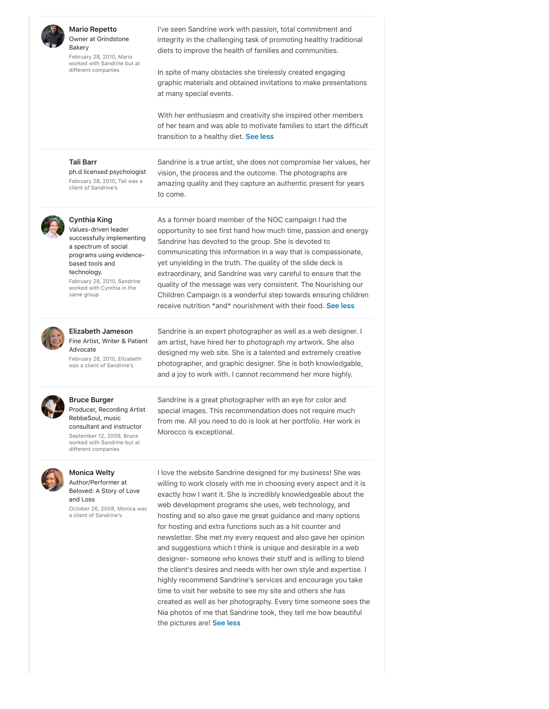

**Mario Repetto** Owner at Grindstone Bakery

February 28, 2010, Mario worked with Sandrine but at different companies

I've seen Sandrine work with passion, total commitment and integrity in the challenging task of promoting healthy traditional diets to improve the health of families and communities.

In spite of many obstacles she tirelessly created engaging graphic materials and obtained invitations to make presentations at many special events.

With her enthusiasm and creativity she inspired other members of her team and was able to motivate families to start the difficult transition to a healthy diet. **See less**

### **Tali Barr**

ph.d licensed psychologist February 28, 2010, Tali was a client of Sandrine's

Sandrine is a true artist, she does not compromise her values, her vision, the process and the outcome. The photographs are amazing quality and they capture an authentic present for years to come.

As a former board member of the NOC campaign I had the opportunity to see first hand how much time, passion and energy

communicating this information in a way that is compassionate, yet unyielding in the truth. The quality of the slide deck is extraordinary, and Sandrine was very careful to ensure that the quality of the message was very consistent. The Nourishing our Children Campaign is a wonderful step towards ensuring children receive nutrition \*and\* nourishment with their food. **See less**

Sandrine has devoted to the group. She is devoted to



### **Cynthia King** Values-driven leader

successfully implementing a spectrum of social programs using evidencebased tools and technology.

February 28, 2010, Sandrine worked with Cynthia in the same group



### **Elizabeth Jameson** Fine Artist, Writer & Patient Advocate

February 28, 2010, Elizabeth was a client of Sandrine's

Sandrine is an expert photographer as well as a web designer. I am artist, have hired her to photograph my artwork. She also designed my web site. She is a talented and extremely creative photographer, and graphic designer. She is both knowledgable, and a joy to work with. I cannot recommend her more highly.



# **Bruce Burger**

Producer, Recording Artist RebbeSoul, music consultant and instructor September 12, 2009, Bruce worked with Sandrine but at different companies



### **Monica Welty**

Author/Performer at Beloved: A Story of Love and Loss

October 26, 2008, Monica was a client of Sandrine's

Sandrine is a great photographer with an eye for color and special images. This recommendation does not require much from me. All you need to do is look at her portfolio. Her work in Morocco is exceptional.

I love the website Sandrine designed for my business! She was willing to work closely with me in choosing every aspect and it is exactly how I want it. She is incredibly knowledgeable about the web development programs she uses, web technology, and hosting and so also gave me great guidance and many options for hosting and extra functions such as a hit counter and newsletter. She met my every request and also gave her opinion and suggestions which I think is unique and desirable in a web designer- someone who knows their stuff and is willing to blend the client's desires and needs with her own style and expertise. I highly recommend Sandrine's services and encourage you take time to visit her website to see my site and others she has created as well as her photography. Every time someone sees the Nia photos of me that Sandrine took, they tell me how beautiful the pictures are! **See less**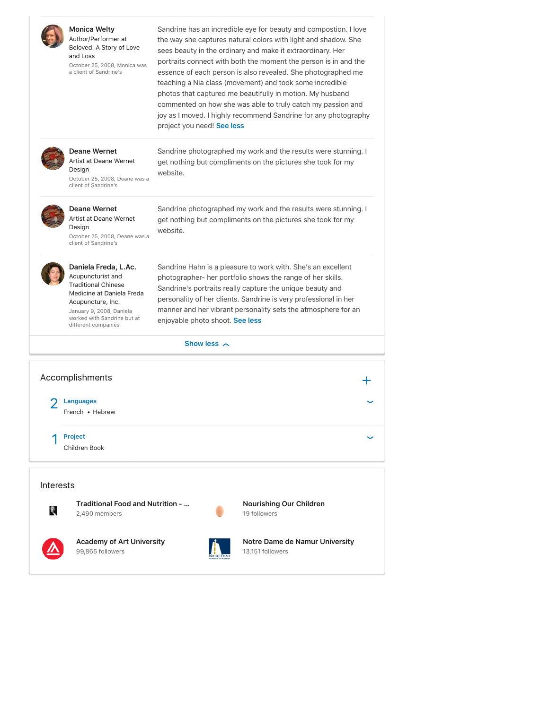

**Monica Welty**

Author/Performer at Beloved: A Story of Love and Loss October 25, 2008, Monica was a client of Sandrine's

Sandrine has an incredible eye for beauty and compostion. I love the way she captures natural colors with light and shadow. She sees beauty in the ordinary and make it extraordinary. Her portraits connect with both the moment the person is in and the essence of each person is also revealed. She photographed me teaching a Nia class (movement) and took some incredible photos that captured me beautifully in motion. My husband commented on how she was able to truly catch my passion and joy as I moved. I highly recommend Sandrine for any photography project you need! **See less**



**Deane Wernet** Artist at Deane Wernet Design October 25, 2008, Deane was a client of Sandrine's

Sandrine photographed my work and the results were stunning. I get nothing but compliments on the pictures she took for my website.



**Deane Wernet** Artist at Deane Wernet

Design October 25, 2008, Deane was a client of Sandrine's

Sandrine photographed my work and the results were stunning. I get nothing but compliments on the pictures she took for my website.



Sandrine Hahn is a pleasure to work with. She's an excellent photographer- her portfolio shows the range of her skills. Sandrine's portraits really capture the unique beauty and personality of her clients. Sandrine is very professional in her manner and her vibrant personality sets the atmosphere for an enjoyable photo shoot. **See less**

### **Show less**